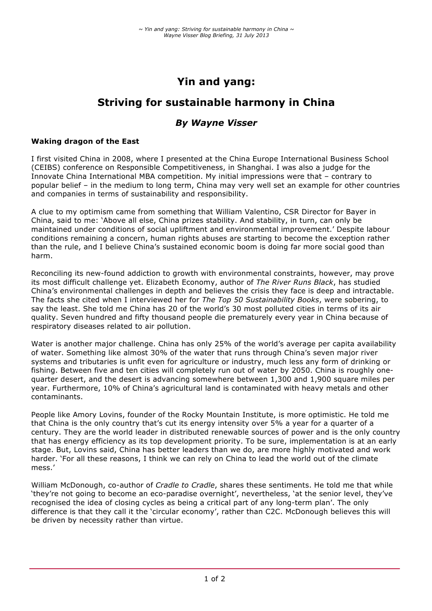## **Yin and yang:**

# **Striving for sustainable harmony in China**

### *By Wayne Visser*

#### **Waking dragon of the East**

I first visited China in 2008, where I presented at the China Europe International Business School (CEIBS) conference on Responsible Competitiveness, in Shanghai. I was also a judge for the Innovate China International MBA competition. My initial impressions were that – contrary to popular belief – in the medium to long term, China may very well set an example for other countries and companies in terms of sustainability and responsibility.

A clue to my optimism came from something that William Valentino, CSR Director for Bayer in China, said to me: 'Above all else, China prizes stability. And stability, in turn, can only be maintained under conditions of social upliftment and environmental improvement.' Despite labour conditions remaining a concern, human rights abuses are starting to become the exception rather than the rule, and I believe China's sustained economic boom is doing far more social good than harm.

Reconciling its new-found addiction to growth with environmental constraints, however, may prove its most difficult challenge yet. Elizabeth Economy, author of *The River Runs Black*, has studied China's environmental challenges in depth and believes the crisis they face is deep and intractable. The facts she cited when I interviewed her for *The Top 50 Sustainability Books*, were sobering, to say the least. She told me China has 20 of the world's 30 most polluted cities in terms of its air quality. Seven hundred and fifty thousand people die prematurely every year in China because of respiratory diseases related to air pollution.

Water is another major challenge. China has only 25% of the world's average per capita availability of water. Something like almost 30% of the water that runs through China's seven major river systems and tributaries is unfit even for agriculture or industry, much less any form of drinking or fishing. Between five and ten cities will completely run out of water by 2050. China is roughly onequarter desert, and the desert is advancing somewhere between 1,300 and 1,900 square miles per year. Furthermore, 10% of China's agricultural land is contaminated with heavy metals and other contaminants.

People like Amory Lovins, founder of the Rocky Mountain Institute, is more optimistic. He told me that China is the only country that's cut its energy intensity over 5% a year for a quarter of a century. They are the world leader in distributed renewable sources of power and is the only country that has energy efficiency as its top development priority. To be sure, implementation is at an early stage. But, Lovins said, China has better leaders than we do, are more highly motivated and work harder. 'For all these reasons, I think we can rely on China to lead the world out of the climate mess.'

William McDonough, co-author of *Cradle to Cradle*, shares these sentiments. He told me that while 'they're not going to become an eco-paradise overnight', nevertheless, 'at the senior level, they've recognised the idea of closing cycles as being a critical part of any long-term plan'. The only difference is that they call it the 'circular economy', rather than C2C. McDonough believes this will be driven by necessity rather than virtue.